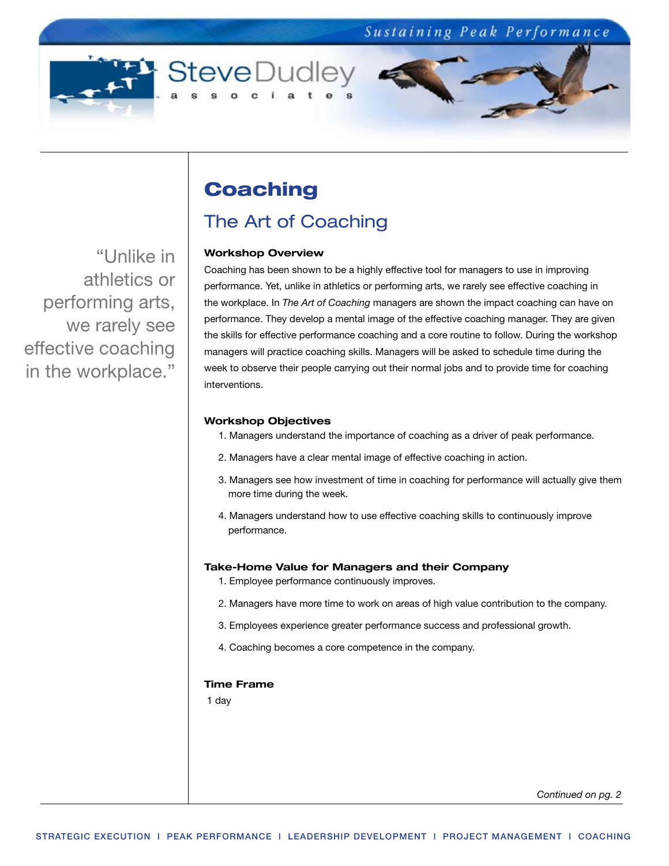

"Unlike in athletics or performing arts, we rarely see effective coaching in the workplace."

# **Coaching**

# The Art of Coaching

### **Workshop Overview**

Coaching has been shown to be a highly effective tool for managers to use in improving performance. Yet, unlike in athletics or performing arts, we rarely see effective coaching in the workplace. In *The Art of Coaching* managers are shown the impact coaching can have on performance. They develop a mental image of the effective coaching manager. They are given the skills for effective performance coaching and a core routine to follow. During the workshop managers will practice coaching skills. Managers will be asked to schedule time during the week to observe their people carrying out their normal jobs and to provide time for coaching interventions.

### **Workshop Objectives**

- 1. Managers understand the importance of coaching as a driver of peak performance.
- 2. Managers have a clear mental image of effective coaching in action.
- 3. Managers see how investment of time in coaching for performance will actually give them more time during the week.
- 4. Managers understand how to use effective coaching skills to continuously improve performance.

### **Take-Home Value for Managers and their Company**

- 1. Employee performance continuously improves.
- 2. Managers have more time to work on areas of high value contribution to the company.
- 3. Employees experience greater performance success and professional growth.
- 4. Coaching becomes a core competence in the company.

### **Time Frame**

1 day

*Continued on pg. 2*